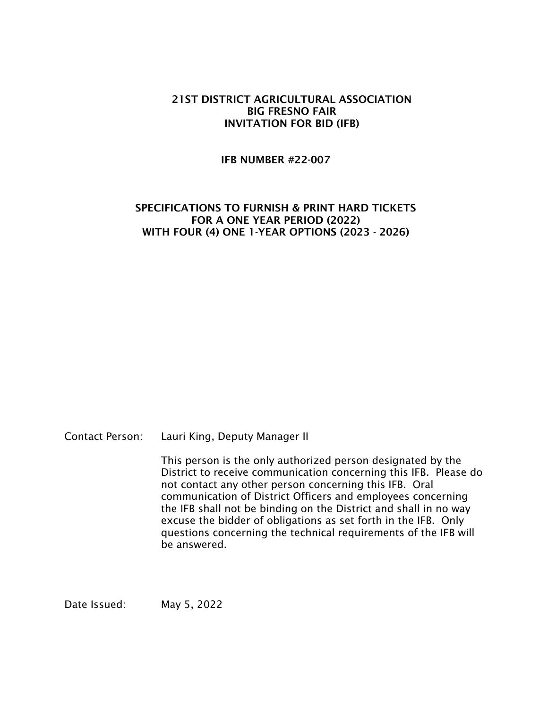### 21ST DISTRICT AGRICULTURAL ASSOCIATION BIG FRESNO FAIR INVITATION FOR BID (IFB)

IFB NUMBER #22-007

SPECIFICATIONS TO FURNISH & PRINT HARD TICKETS FOR A ONE YEAR PERIOD (2022) WITH FOUR (4) ONE 1-YEAR OPTIONS (2023 - 2026)

Contact Person: Lauri King, Deputy Manager II

This person is the only authorized person designated by the District to receive communication concerning this IFB. Please do not contact any other person concerning this IFB. Oral communication of District Officers and employees concerning the IFB shall not be binding on the District and shall in no way excuse the bidder of obligations as set forth in the IFB. Only questions concerning the technical requirements of the IFB will be answered.

Date Issued: May 5, 2022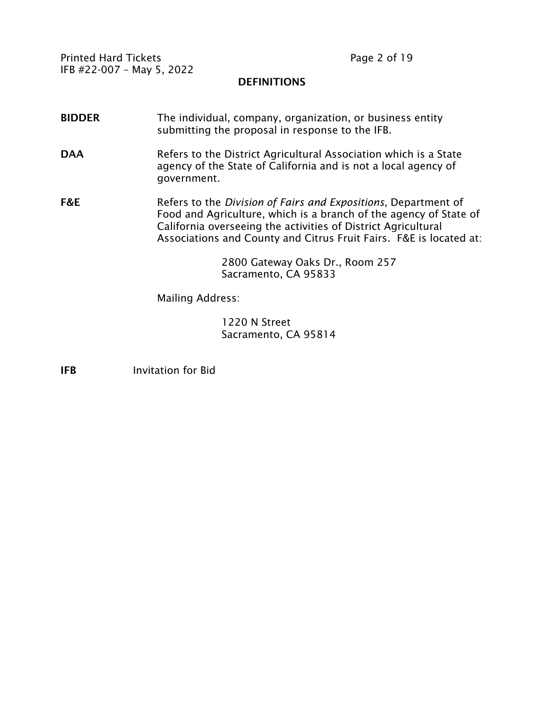Printed Hard Tickets **Printed Hard Tickets Page 2 of 19** IFB #22-007 – May 5, 2022

# DEFINITIONS

| <b>BIDDER</b> | The individual, company, organization, or business entity<br>submitting the proposal in response to the IFB.                                                                                                                                                               |  |
|---------------|----------------------------------------------------------------------------------------------------------------------------------------------------------------------------------------------------------------------------------------------------------------------------|--|
| <b>DAA</b>    | Refers to the District Agricultural Association which is a State<br>agency of the State of California and is not a local agency of<br>government.                                                                                                                          |  |
| F&E           | Refers to the Division of Fairs and Expositions, Department of<br>Food and Agriculture, which is a branch of the agency of State of<br>California overseeing the activities of District Agricultural<br>Associations and County and Citrus Fruit Fairs. F&E is located at: |  |
|               | 2800 Gateway Oaks Dr., Room 257<br>Sacramento, CA 95833                                                                                                                                                                                                                    |  |
|               | <b>Mailing Address:</b>                                                                                                                                                                                                                                                    |  |
|               | 1220 N Street<br>Sacramento, CA 95814                                                                                                                                                                                                                                      |  |

IFB Invitation for Bid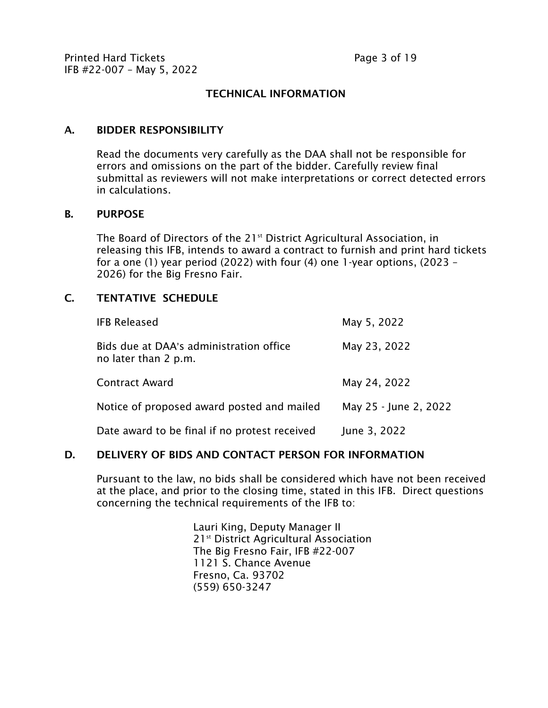Printed Hard Tickets **Printed Hard Tickets Page 3 of 19** IFB #22-007 – May 5, 2022

### TECHNICAL INFORMATION

#### A. BIDDER RESPONSIBILITY

Read the documents very carefully as the DAA shall not be responsible for errors and omissions on the part of the bidder. Carefully review final submittal as reviewers will not make interpretations or correct detected errors in calculations.

#### B. PURPOSE

The Board of Directors of the 21<sup>st</sup> District Agricultural Association, in releasing this IFB, intends to award a contract to furnish and print hard tickets for a one (1) year period (2022) with four (4) one 1-year options, (2023 – 2026) for the Big Fresno Fair.

#### C. TENTATIVE SCHEDULE

| <b>IFB Released</b>                                             | May 5, 2022           |
|-----------------------------------------------------------------|-----------------------|
| Bids due at DAA's administration office<br>no later than 2 p.m. | May 23, 2022          |
| <b>Contract Award</b>                                           | May 24, 2022          |
| Notice of proposed award posted and mailed                      | May 25 - June 2, 2022 |
| Date award to be final if no protest received                   | June 3, 2022          |

#### D. DELIVERY OF BIDS AND CONTACT PERSON FOR INFORMATION

Pursuant to the law, no bids shall be considered which have not been received at the place, and prior to the closing time, stated in this IFB. Direct questions concerning the technical requirements of the IFB to:

> Lauri King, Deputy Manager II 21<sup>st</sup> District Agricultural Association The Big Fresno Fair, IFB #22-007 1121 S. Chance Avenue Fresno, Ca. 93702 (559) 650-3247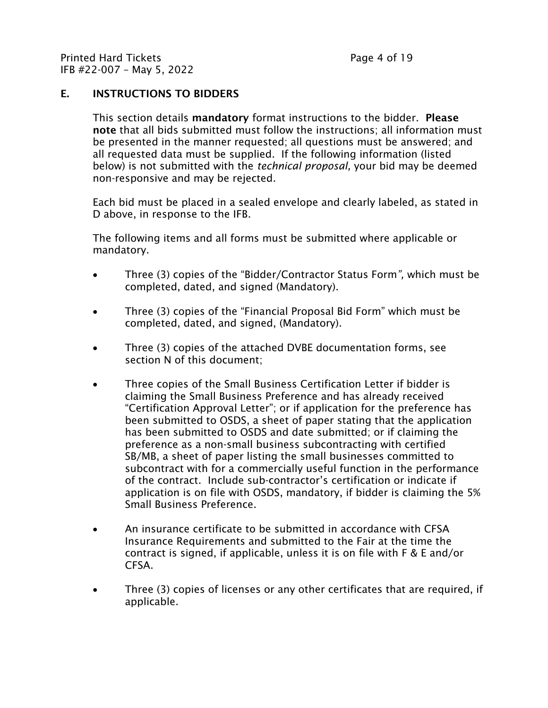Printed Hard Tickets **Printed Hard Tickets Page 4 of 19** IFB #22-007 – May 5, 2022

# E. INSTRUCTIONS TO BIDDERS

This section details mandatory format instructions to the bidder. Please note that all bids submitted must follow the instructions; all information must be presented in the manner requested; all questions must be answered; and all requested data must be supplied. If the following information (listed below) is not submitted with the *technical proposal,* your bid may be deemed non-responsive and may be rejected.

Each bid must be placed in a sealed envelope and clearly labeled, as stated in D above, in response to the IFB.

The following items and all forms must be submitted where applicable or mandatory.

- Three (3) copies of the "Bidder/Contractor Status Form*",* which must be completed, dated, and signed (Mandatory).
- Three (3) copies of the "Financial Proposal Bid Form" which must be completed, dated, and signed, (Mandatory).
- Three (3) copies of the attached DVBE documentation forms, see section N of this document;
- Three copies of the Small Business Certification Letter if bidder is claiming the Small Business Preference and has already received "Certification Approval Letter"; or if application for the preference has been submitted to OSDS, a sheet of paper stating that the application has been submitted to OSDS and date submitted; or if claiming the preference as a non-small business subcontracting with certified SB/MB, a sheet of paper listing the small businesses committed to subcontract with for a commercially useful function in the performance of the contract. Include sub-contractor's certification or indicate if application is on file with OSDS, mandatory, if bidder is claiming the 5% Small Business Preference.
- An insurance certificate to be submitted in accordance with CFSA Insurance Requirements and submitted to the Fair at the time the contract is signed, if applicable, unless it is on file with F & E and/or CFSA.
- Three (3) copies of licenses or any other certificates that are required, if applicable.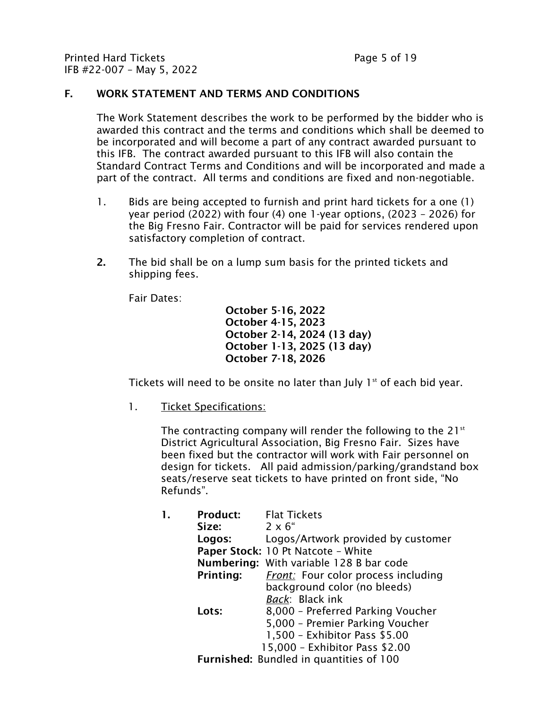Printed Hard Tickets **Page 5 of 19** IFB #22-007 – May 5, 2022

# F. WORK STATEMENT AND TERMS AND CONDITIONS

The Work Statement describes the work to be performed by the bidder who is awarded this contract and the terms and conditions which shall be deemed to be incorporated and will become a part of any contract awarded pursuant to this IFB. The contract awarded pursuant to this IFB will also contain the Standard Contract Terms and Conditions and will be incorporated and made a part of the contract. All terms and conditions are fixed and non-negotiable.

- 1. Bids are being accepted to furnish and print hard tickets for a one (1) year period (2022) with four (4) one 1-year options, (2023 – 2026) for the Big Fresno Fair. Contractor will be paid for services rendered upon satisfactory completion of contract.
- 2. The bid shall be on a lump sum basis for the printed tickets and shipping fees.

Fair Dates:

 October 5-16, 2022 October 4-15, 2023 October 2-14, 2024 (13 day) October 1-13, 2025 (13 day) October 7-18, 2026

Tickets will need to be onsite no later than July  $1<sup>st</sup>$  of each bid year.

1. Ticket Specifications:

The contracting company will render the following to the  $21^{st}$ District Agricultural Association, Big Fresno Fair. Sizes have been fixed but the contractor will work with Fair personnel on design for tickets. All paid admission/parking/grandstand box seats/reserve seat tickets to have printed on front side, "No Refunds".

| 1. | <b>Product:</b> | Flat Tickets                                   |
|----|-----------------|------------------------------------------------|
|    | Size:           | $2 \times 6$ "                                 |
|    | Logos:          | Logos/Artwork provided by customer             |
|    |                 | Paper Stock: 10 Pt Natcote - White             |
|    |                 | <b>Numbering:</b> With variable 128 B bar code |
|    | Printing:       | <b>Front:</b> Four color process including     |
|    |                 | background color (no bleeds)                   |
|    |                 | Back: Black ink                                |
|    | Lots:           | 8,000 - Preferred Parking Voucher              |
|    |                 | 5,000 - Premier Parking Voucher                |
|    |                 | 1,500 - Exhibitor Pass \$5.00                  |
|    |                 | 15,000 - Exhibitor Pass \$2.00                 |
|    |                 | Furnished: Bundled in quantities of 100        |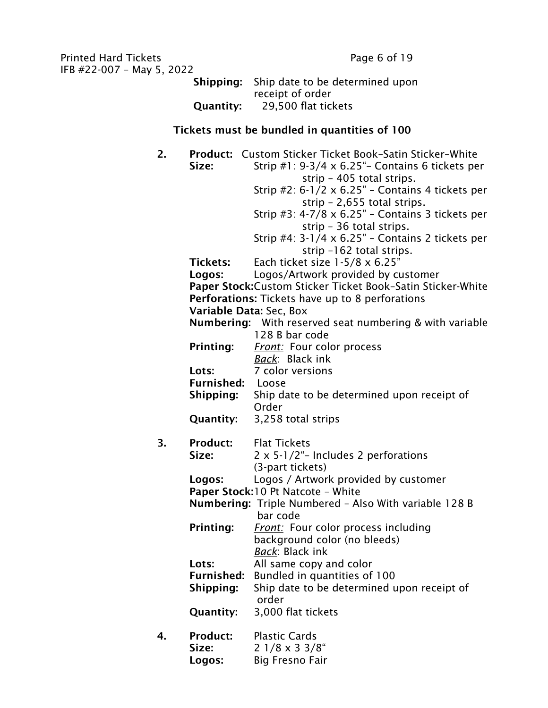Printed Hard Tickets **Printed Hard Tickets Page 6 of 19** IFB #22-007 – May 5, 2022

**Shipping:** Ship date to be determined upon receipt of order Quantity: 29,500 flat tickets

# Tickets must be bundled in quantities of 100

| 2.                                                          |                         | <b>Product:</b> Custom Sticker Ticket Book-Satin Sticker-White |  |
|-------------------------------------------------------------|-------------------------|----------------------------------------------------------------|--|
|                                                             | Size:                   | Strip #1: $9-3/4 \times 6.25$ " - Contains 6 tickets per       |  |
|                                                             |                         | strip - 405 total strips.                                      |  |
|                                                             |                         | Strip #2: $6-1/2 \times 6.25$ " - Contains 4 tickets per       |  |
|                                                             |                         | strip $-2,655$ total strips.                                   |  |
|                                                             |                         | Strip #3: $4-7/8 \times 6.25$ " - Contains 3 tickets per       |  |
|                                                             |                         | strip - 36 total strips.                                       |  |
|                                                             |                         | Strip #4: $3-1/4 \times 6.25"$ - Contains 2 tickets per        |  |
|                                                             |                         | strip-162 total strips.                                        |  |
|                                                             | Tickets:                | Each ticket size $1-5/8 \times 6.25$ "                         |  |
|                                                             | Logos:                  | Logos/Artwork provided by customer                             |  |
| Paper Stock: Custom Sticker Ticket Book-Satin Sticker-White |                         |                                                                |  |
|                                                             |                         | Perforations: Tickets have up to 8 perforations                |  |
|                                                             | Variable Data: Sec, Box |                                                                |  |
|                                                             |                         | <b>Numbering:</b> With reserved seat numbering & with variable |  |
|                                                             |                         | 128 B bar code                                                 |  |
|                                                             | Printing:               | <b>Front:</b> Four color process                               |  |
|                                                             |                         | Back: Black ink                                                |  |
|                                                             | Lots:                   | 7 color versions                                               |  |
|                                                             | Furnished: Loose        |                                                                |  |
|                                                             | Shipping:               | Ship date to be determined upon receipt of                     |  |
|                                                             |                         | Order                                                          |  |
|                                                             |                         | <b>Quantity:</b> 3,258 total strips                            |  |
| 3.                                                          | Product:                | <b>Flat Tickets</b>                                            |  |
|                                                             | Size:                   | $2 \times 5 - 1/2$ " - Includes 2 perforations                 |  |
|                                                             |                         | (3-part tickets)                                               |  |
|                                                             | Logos:                  | Logos / Artwork provided by customer                           |  |
|                                                             |                         | Paper Stock:10 Pt Natcote - White                              |  |
|                                                             |                         | Numbering: Triple Numbered - Also With variable 128 B          |  |
|                                                             |                         | bar code                                                       |  |
|                                                             | Printing:               | <b>Front:</b> Four color process including                     |  |
|                                                             |                         | background color (no bleeds)                                   |  |
|                                                             |                         | Back: Black ink                                                |  |
|                                                             | Lots:                   | All same copy and color                                        |  |
|                                                             | <b>Furnished:</b>       | Bundled in quantities of 100                                   |  |
|                                                             | Shipping:               | Ship date to be determined upon receipt of<br>order            |  |
|                                                             | Quantity:               | 3,000 flat tickets                                             |  |
| 4.                                                          | <b>Product:</b>         | <b>Plastic Cards</b>                                           |  |
|                                                             | Size:                   | $21/8 \times 33/8$ "                                           |  |
|                                                             | Logos:                  | <b>Big Fresno Fair</b>                                         |  |
|                                                             |                         |                                                                |  |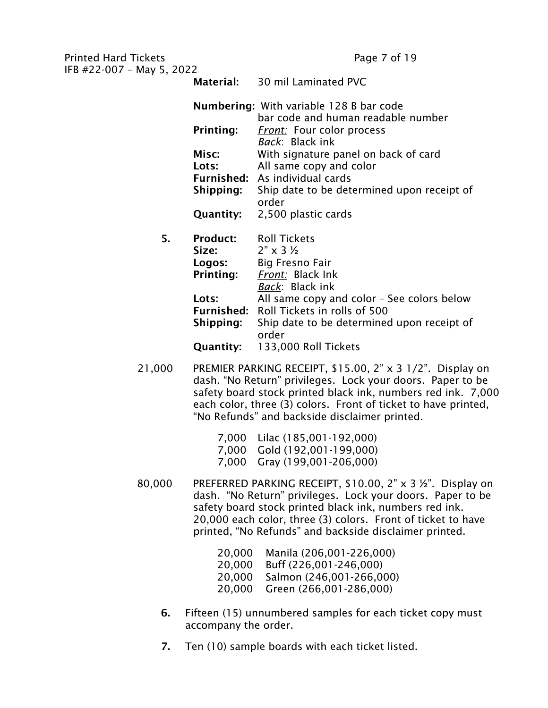Printed Hard Tickets **Printed Hard Tickets Page 7 of 19** IFB #22-007 – May 5, 2022

| J. ZUZZ |                              |                                                                                      |
|---------|------------------------------|--------------------------------------------------------------------------------------|
|         |                              | Material: 30 mil Laminated PVC                                                       |
|         |                              | <b>Numbering:</b> With variable 128 B bar code<br>bar code and human readable number |
|         | Printing:                    | <b>Front:</b> Four color process<br>Back: Black ink                                  |
|         | Misc:                        | With signature panel on back of card                                                 |
|         | Lots:                        | All same copy and color                                                              |
|         |                              | Furnished: As individual cards                                                       |
|         | Shipping:                    | Ship date to be determined upon receipt of<br>order                                  |
|         | <b>Quantity:</b>             | 2,500 plastic cards                                                                  |
| 5.      | <b>Product:</b> Roll Tickets |                                                                                      |
|         | Size:                        | $2" \times 3\frac{1}{2}$                                                             |
|         | Logos:                       | Big Fresno Fair                                                                      |
|         | <b>Printing:</b>             | Front: Black Ink                                                                     |
|         |                              | Back: Black ink                                                                      |
|         | Lots:                        | All same copy and color - See colors below                                           |
|         |                              | Furnished: Roll Tickets in rolls of 500                                              |
|         | Shipping:                    | Ship date to be determined upon receipt of<br>order                                  |
|         | <b>Quantity:</b>             | 133,000 Roll Tickets                                                                 |

- 21,000 PREMIER PARKING RECEIPT, \$15.00, 2" x 3 1/2". Display on dash. "No Return" privileges. Lock your doors. Paper to be safety board stock printed black ink, numbers red ink. 7,000 each color, three (3) colors. Front of ticket to have printed, "No Refunds" and backside disclaimer printed.
	- 7,000 Lilac (185,001-192,000)
	- 7,000 Gold (192,001-199,000)
	- 7,000 Gray (199,001-206,000)
- 80,000 PREFERRED PARKING RECEIPT, \$10.00, 2" x 3 ½". Display on dash. "No Return" privileges. Lock your doors. Paper to be safety board stock printed black ink, numbers red ink. 20,000 each color, three (3) colors. Front of ticket to have printed, "No Refunds" and backside disclaimer printed.

| Manila (206,001-226,000)<br>20.000 |
|------------------------------------|
| Buff (226,001-246,000)             |
| Salmon (246,001-266,000)<br>20.000 |
| 20,000 Green (266,001-286.000)     |
|                                    |

- 6. Fifteen (15) unnumbered samples for each ticket copy must accompany the order.
- 7. Ten (10) sample boards with each ticket listed.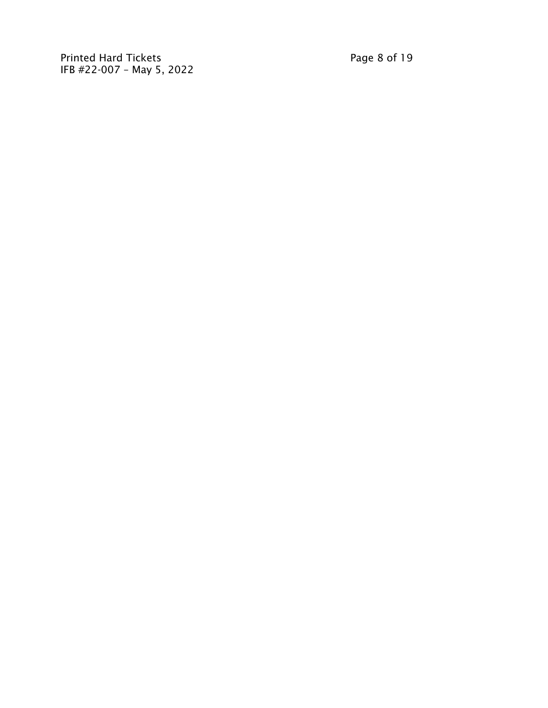Printed Hard Tickets **Printed Hard Tickets Page 8 of 19** IFB #22-007 – May 5, 2022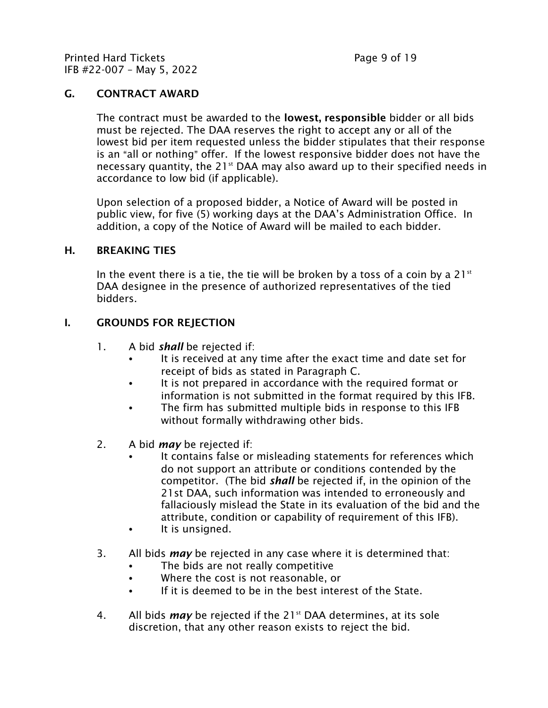Printed Hard Tickets **Page 9 of 19** IFB #22-007 – May 5, 2022

# G. CONTRACT AWARD

The contract must be awarded to the **lowest, responsible** bidder or all bids must be rejected. The DAA reserves the right to accept any or all of the lowest bid per item requested unless the bidder stipulates that their response is an "all or nothing" offer. If the lowest responsive bidder does not have the necessary quantity, the 21 $\mathrm{^{st}}$  DAA may also award up to their specified needs in accordance to low bid (if applicable).

Upon selection of a proposed bidder, a Notice of Award will be posted in public view, for five (5) working days at the DAA's Administration Office. In addition, a copy of the Notice of Award will be mailed to each bidder.

#### H. BREAKING TIES

In the event there is a tie, the tie will be broken by a toss of a coin by a  $21^{st}$ DAA designee in the presence of authorized representatives of the tied bidders.

### I. GROUNDS FOR REJECTION

- 1. A bid *shall* be rejected if:
	- It is received at any time after the exact time and date set for receipt of bids as stated in Paragraph C.
	- **•** It is not prepared in accordance with the required format or information is not submitted in the format required by this IFB.
	- The firm has submitted multiple bids in response to this IFB without formally withdrawing other bids.
- 2. A bid *may* be rejected if:
	- It contains false or misleading statements for references which do not support an attribute or conditions contended by the competitor. (The bid *shall* be rejected if, in the opinion of the 21st DAA, such information was intended to erroneously and fallaciously mislead the State in its evaluation of the bid and the attribute, condition or capability of requirement of this IFB).
	- It is unsigned.
- 3. All bids *may* be rejected in any case where it is determined that:
	- The bids are not really competitive
	- Where the cost is not reasonable, or
	- If it is deemed to be in the best interest of the State.
- 4. All bids *may* be rejected if the 21<sup>st</sup> DAA determines, at its sole discretion, that any other reason exists to reject the bid.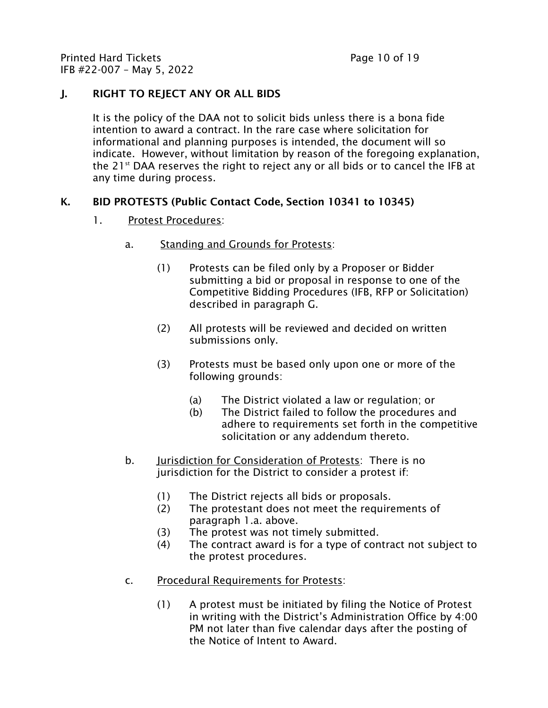Printed Hard Tickets **Page 10 of 19** Page 10 of 19 IFB #22-007 – May 5, 2022

# J. RIGHT TO REJECT ANY OR ALL BIDS

It is the policy of the DAA not to solicit bids unless there is a bona fide intention to award a contract. In the rare case where solicitation for informational and planning purposes is intended, the document will so indicate. However, without limitation by reason of the foregoing explanation, the 21 $\mathrm{st}$  DAA reserves the right to reject any or all bids or to cancel the IFB at any time during process.

# K. BID PROTESTS (Public Contact Code, Section 10341 to 10345)

- 1. Protest Procedures:
	- a. Standing and Grounds for Protests:
		- (1) Protests can be filed only by a Proposer or Bidder submitting a bid or proposal in response to one of the Competitive Bidding Procedures (IFB, RFP or Solicitation) described in paragraph G.
		- (2) All protests will be reviewed and decided on written submissions only.
		- (3) Protests must be based only upon one or more of the following grounds:
			- (a) The District violated a law or regulation; or
			- (b) The District failed to follow the procedures and adhere to requirements set forth in the competitive solicitation or any addendum thereto.
	- b. Jurisdiction for Consideration of Protests: There is no jurisdiction for the District to consider a protest if:
		- (1) The District rejects all bids or proposals.
		- (2) The protestant does not meet the requirements of paragraph 1.a. above.
		- (3) The protest was not timely submitted.
		- (4) The contract award is for a type of contract not subject to the protest procedures.
	- c. Procedural Requirements for Protests:
		- (1) A protest must be initiated by filing the Notice of Protest in writing with the District's Administration Office by 4:00 PM not later than five calendar days after the posting of the Notice of Intent to Award.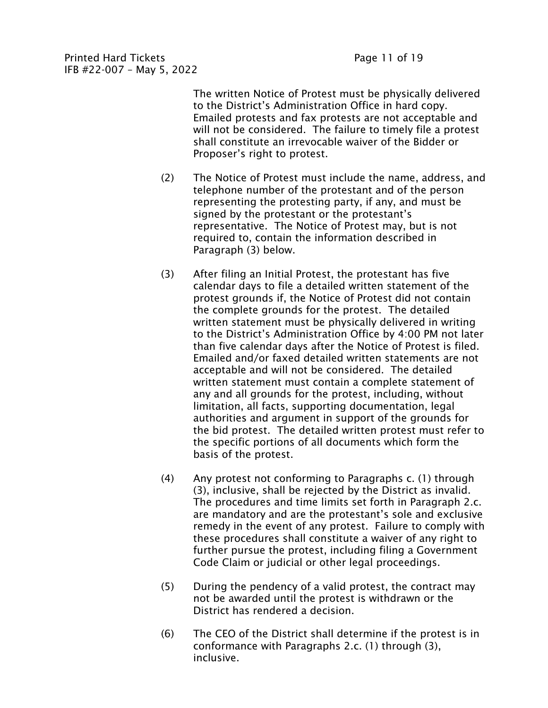Printed Hard Tickets **Printed Hard Tickets Page 11 of 19** IFB #22-007 – May 5, 2022

> The written Notice of Protest must be physically delivered to the District's Administration Office in hard copy. Emailed protests and fax protests are not acceptable and will not be considered. The failure to timely file a protest shall constitute an irrevocable waiver of the Bidder or Proposer's right to protest.

- (2) The Notice of Protest must include the name, address, and telephone number of the protestant and of the person representing the protesting party, if any, and must be signed by the protestant or the protestant's representative. The Notice of Protest may, but is not required to, contain the information described in Paragraph (3) below.
- (3) After filing an Initial Protest, the protestant has five calendar days to file a detailed written statement of the protest grounds if, the Notice of Protest did not contain the complete grounds for the protest. The detailed written statement must be physically delivered in writing to the District's Administration Office by 4:00 PM not later than five calendar days after the Notice of Protest is filed. Emailed and/or faxed detailed written statements are not acceptable and will not be considered. The detailed written statement must contain a complete statement of any and all grounds for the protest, including, without limitation, all facts, supporting documentation, legal authorities and argument in support of the grounds for the bid protest. The detailed written protest must refer to the specific portions of all documents which form the basis of the protest.
- (4) Any protest not conforming to Paragraphs c. (1) through (3), inclusive, shall be rejected by the District as invalid. The procedures and time limits set forth in Paragraph 2.c. are mandatory and are the protestant's sole and exclusive remedy in the event of any protest. Failure to comply with these procedures shall constitute a waiver of any right to further pursue the protest, including filing a Government Code Claim or judicial or other legal proceedings.
- (5) During the pendency of a valid protest, the contract may not be awarded until the protest is withdrawn or the District has rendered a decision.
- (6) The CEO of the District shall determine if the protest is in conformance with Paragraphs 2.c. (1) through (3), inclusive.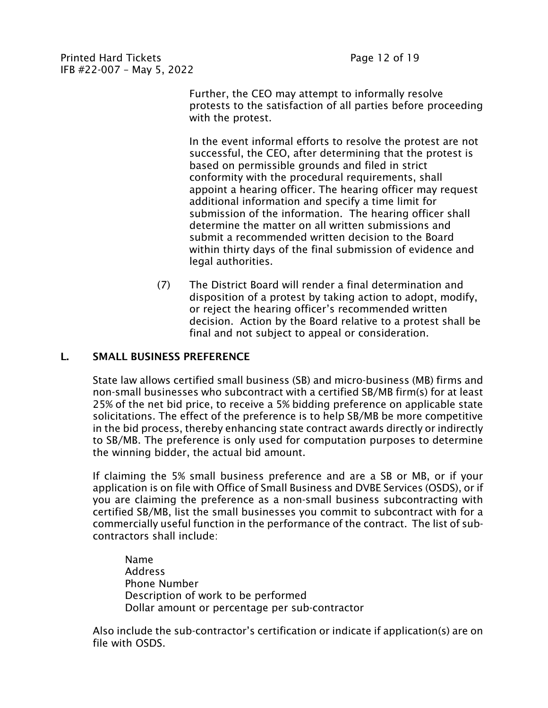Printed Hard Tickets **Page 12 of 19** Page 12 of 19 IFB #22-007 – May 5, 2022

> Further, the CEO may attempt to informally resolve protests to the satisfaction of all parties before proceeding with the protest.

> In the event informal efforts to resolve the protest are not successful, the CEO, after determining that the protest is based on permissible grounds and filed in strict conformity with the procedural requirements, shall appoint a hearing officer. The hearing officer may request additional information and specify a time limit for submission of the information. The hearing officer shall determine the matter on all written submissions and submit a recommended written decision to the Board within thirty days of the final submission of evidence and legal authorities.

(7) The District Board will render a final determination and disposition of a protest by taking action to adopt, modify, or reject the hearing officer's recommended written decision. Action by the Board relative to a protest shall be final and not subject to appeal or consideration.

# L. SMALL BUSINESS PREFERENCE

State law allows certified small business (SB) and micro-business (MB) firms and non-small businesses who subcontract with a certified SB/MB firm(s) for at least 25% of the net bid price, to receive a 5% bidding preference on applicable state solicitations. The effect of the preference is to help SB/MB be more competitive in the bid process, thereby enhancing state contract awards directly or indirectly to SB/MB. The preference is only used for computation purposes to determine the winning bidder, the actual bid amount.

If claiming the 5% small business preference and are a SB or MB, or if your application is on file with Office of Small Business and DVBE Services (OSDS), or if you are claiming the preference as a non-small business subcontracting with certified SB/MB, list the small businesses you commit to subcontract with for a commercially useful function in the performance of the contract. The list of subcontractors shall include:

 Name Address Phone Number Description of work to be performed Dollar amount or percentage per sub-contractor

Also include the sub-contractor's certification or indicate if application(s) are on file with OSDS.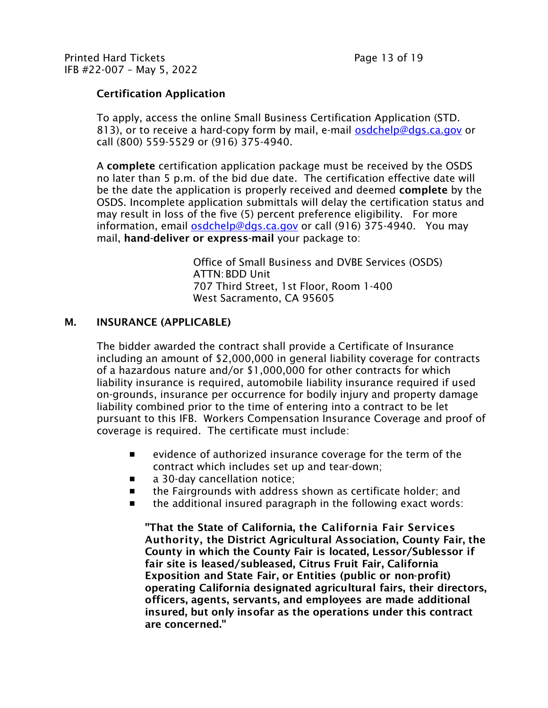# Certification Application

To apply, access the online Small Business Certification Application (STD. 813), or to receive a hard-copy form by mail, e-mail osdchelp@dgs.ca.gov or call (800) 559-5529 or (916) 375-4940.

A complete certification application package must be received by the OSDS no later than 5 p.m. of the bid due date. The certification effective date will be the date the application is properly received and deemed **complete** by the OSDS. Incomplete application submittals will delay the certification status and may result in loss of the five (5) percent preference eligibility. For more information, email osdchelp@dgs.ca.gov or call (916) 375-4940. You may mail, hand-deliver or express-mail your package to:

> Office of Small Business and DVBE Services (OSDS) ATTN: BDD Unit 707 Third Street, 1st Floor, Room 1-400 West Sacramento, CA 95605

### M. INSURANCE (APPLICABLE)

The bidder awarded the contract shall provide a Certificate of Insurance including an amount of \$2,000,000 in general liability coverage for contracts of a hazardous nature and/or \$1,000,000 for other contracts for which liability insurance is required, automobile liability insurance required if used on-grounds, insurance per occurrence for bodily injury and property damage liability combined prior to the time of entering into a contract to be let pursuant to this IFB. Workers Compensation Insurance Coverage and proof of coverage is required. The certificate must include:

- $\blacksquare$  evidence of authorized insurance coverage for the term of the contract which includes set up and tear-down;
- $\blacksquare$  a 30-day cancellation notice;
- **EXECT** the Fairgrounds with address shown as certificate holder; and
- $\blacksquare$  the additional insured paragraph in the following exact words:

"That the State of California, the California Fair Services Authority, the District Agricultural Association, County Fair, the County in which the County Fair is located, Lessor/Sublessor if fair site is leased/subleased, Citrus Fruit Fair, California Exposition and State Fair, or Entities (public or non-profit) operating California designated agricultural fairs, their directors, officers, agents, servants, and employees are made additional insured, but only insofar as the operations under this contract are concerned."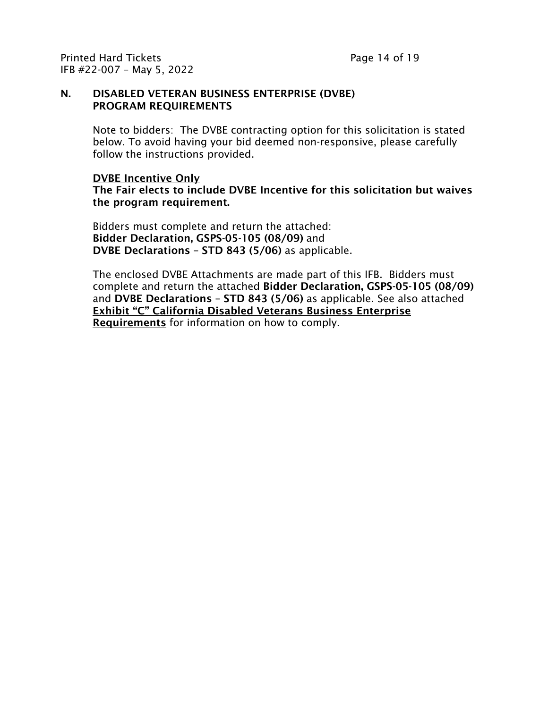Printed Hard Tickets **Page 14 of 19** Page 14 of 19 IFB #22-007 – May 5, 2022

#### N. DISABLED VETERAN BUSINESS ENTERPRISE (DVBE) PROGRAM REQUIREMENTS

Note to bidders: The DVBE contracting option for this solicitation is stated below. To avoid having your bid deemed non-responsive, please carefully follow the instructions provided.

#### DVBE Incentive Only

The Fair elects to include DVBE Incentive for this solicitation but waives the program requirement.

Bidders must complete and return the attached: Bidder Declaration, GSPS-05-105 (08/09) and DVBE Declarations – STD 843 (5/06) as applicable.

The enclosed DVBE Attachments are made part of this IFB. Bidders must complete and return the attached Bidder Declaration, GSPS-05-105 (08/09) and DVBE Declarations – STD 843 (5/06) as applicable. See also attached Exhibit "C" California Disabled Veterans Business Enterprise Requirements for information on how to comply.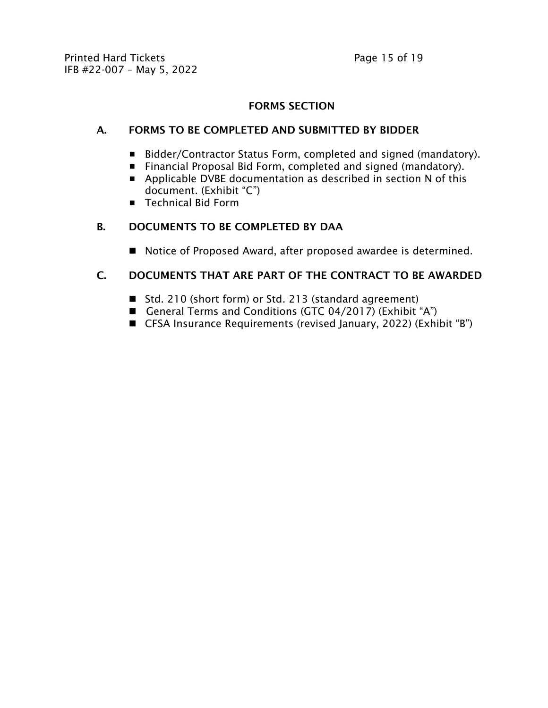# FORMS SECTION

### A. FORMS TO BE COMPLETED AND SUBMITTED BY BIDDER

- Bidder/Contractor Status Form, completed and signed (mandatory).
- Financial Proposal Bid Form, completed and signed (mandatory).
- **E** Applicable DVBE documentation as described in section N of this document. (Exhibit "C")
- $\blacksquare$  Technical Bid Form

# B. DOCUMENTS TO BE COMPLETED BY DAA

■ Notice of Proposed Award, after proposed awardee is determined.

# C. DOCUMENTS THAT ARE PART OF THE CONTRACT TO BE AWARDED

- Std. 210 (short form) or Std. 213 (standard agreement)
- General Terms and Conditions (GTC 04/2017) (Exhibit "A")
- CFSA Insurance Requirements (revised January, 2022) (Exhibit "B")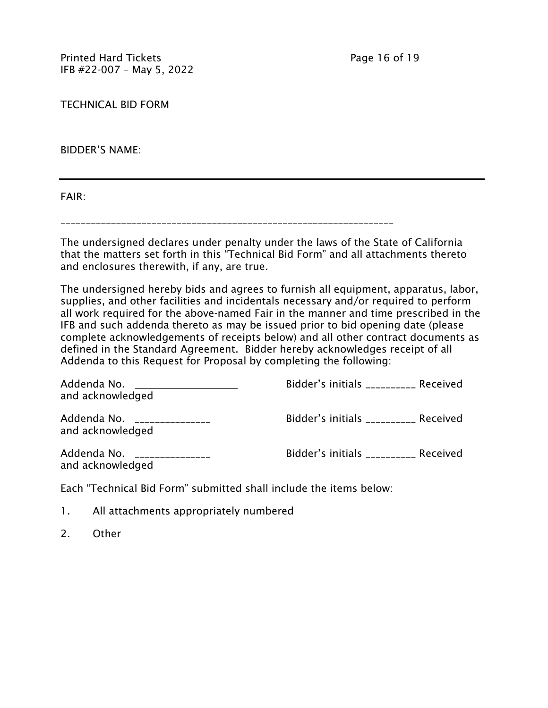Printed Hard Tickets **Page 16 of 19** Page 16 of 19 IFB #22-007 – May 5, 2022

TECHNICAL BID FORM

BIDDER'S NAME:

FAIR:

\_\_\_\_\_\_\_\_\_\_\_\_\_\_\_\_\_\_\_\_\_\_\_\_\_\_\_\_\_\_\_\_\_\_\_\_\_\_\_\_\_\_\_\_\_\_\_\_\_\_\_\_\_\_\_\_\_\_\_\_\_\_\_\_\_\_

The undersigned declares under penalty under the laws of the State of California that the matters set forth in this "Technical Bid Form" and all attachments thereto and enclosures therewith, if any, are true.

The undersigned hereby bids and agrees to furnish all equipment, apparatus, labor, supplies, and other facilities and incidentals necessary and/or required to perform all work required for the above-named Fair in the manner and time prescribed in the IFB and such addenda thereto as may be issued prior to bid opening date (please complete acknowledgements of receipts below) and all other contract documents as defined in the Standard Agreement. Bidder hereby acknowledges receipt of all Addenda to this Request for Proposal by completing the following:

| Addenda No.<br>and acknowledged                 | Bidder's initials ___________ Received |  |
|-------------------------------------------------|----------------------------------------|--|
| Addenda No. _______________<br>and acknowledged | Bidder's initials __________ Received  |  |
| Addenda No. _______________<br>and acknowledged | Bidder's initials ___________ Received |  |

Each "Technical Bid Form" submitted shall include the items below:

1. All attachments appropriately numbered

2. Other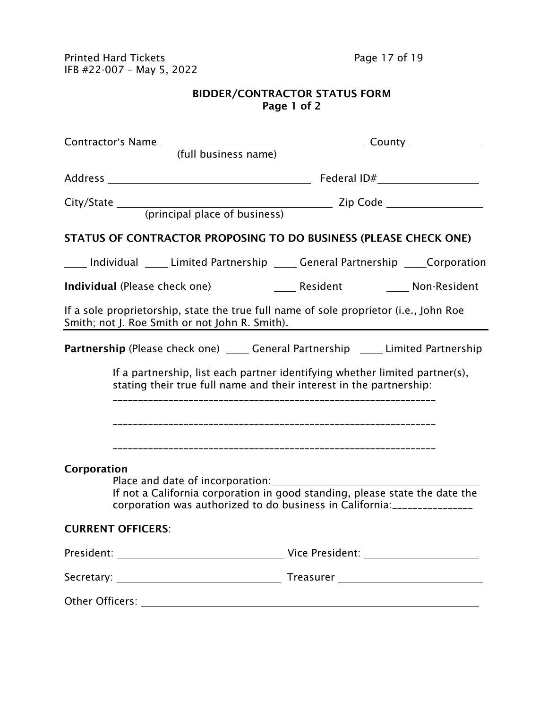Printed Hard Tickets **Page 17 of 19** Page 17 of 19 IFB #22-007 – May 5, 2022

### BIDDER/CONTRACTOR STATUS FORM Page 1 of 2

|                                                                                 | STATUS OF CONTRACTOR PROPOSING TO DO BUSINESS (PLEASE CHECK ONE)                                                                                       |  |
|---------------------------------------------------------------------------------|--------------------------------------------------------------------------------------------------------------------------------------------------------|--|
|                                                                                 | ____ Individual _____ Limited Partnership _____ General Partnership _____Corporation                                                                   |  |
| Individual (Please check one)<br>________ Resident _______________ Non-Resident |                                                                                                                                                        |  |
| Smith; not J. Roe Smith or not John R. Smith).                                  | If a sole proprietorship, state the true full name of sole proprietor (i.e., John Roe                                                                  |  |
|                                                                                 | Partnership (Please check one) _____ General Partnership _____ Limited Partnership                                                                     |  |
|                                                                                 | If a partnership, list each partner identifying whether limited partner(s),<br>stating their true full name and their interest in the partnership:     |  |
|                                                                                 |                                                                                                                                                        |  |
|                                                                                 |                                                                                                                                                        |  |
| Corporation                                                                     |                                                                                                                                                        |  |
|                                                                                 | If not a California corporation in good standing, please state the date the<br>corporation was authorized to do business in California:_______________ |  |
| <b>CURRENT OFFICERS:</b>                                                        |                                                                                                                                                        |  |
|                                                                                 |                                                                                                                                                        |  |
|                                                                                 |                                                                                                                                                        |  |
|                                                                                 |                                                                                                                                                        |  |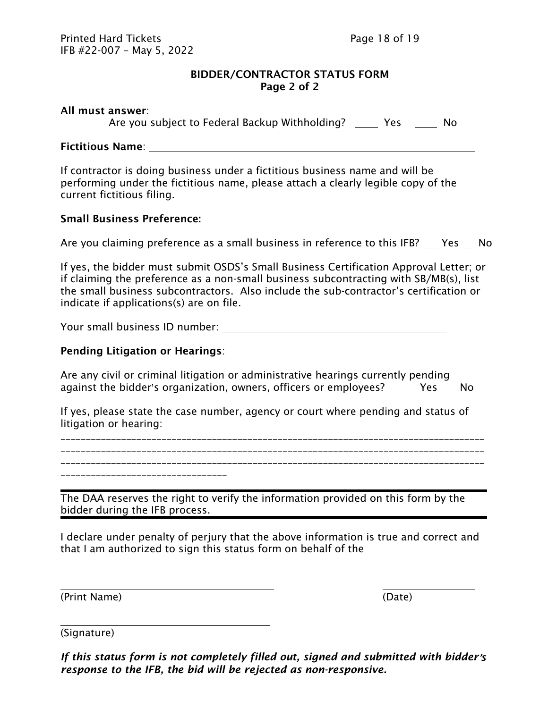### BIDDER/CONTRACTOR STATUS FORM Page 2 of 2

#### All must answer:

Are you subject to Federal Backup Withholding? Yes No

#### Fictitious Name:

If contractor is doing business under a fictitious business name and will be performing under the fictitious name, please attach a clearly legible copy of the current fictitious filing.

### Small Business Preference:

Are you claiming preference as a small business in reference to this IFB? Fes No

 If yes, the bidder must submit OSDS's Small Business Certification Approval Letter; or if claiming the preference as a non-small business subcontracting with SB/MB(s), list the small business subcontractors. Also include the sub-contractor's certification or indicate if applications(s) are on file.

Your small business ID number:

# Pending Litigation or Hearings:

Are any civil or criminal litigation or administrative hearings currently pending against the bidder's organization, owners, officers or employees? \_\_\_\_ Yes \_\_\_ No

If yes, please state the case number, agency or court where pending and status of litigation or hearing:

\_\_\_\_\_\_\_\_\_\_\_\_\_\_\_\_\_\_\_\_\_\_\_\_\_\_\_\_\_\_\_\_\_\_\_\_\_\_\_\_\_\_\_\_\_\_\_\_\_\_\_\_\_\_\_\_\_\_\_\_\_\_\_\_\_\_\_\_\_\_\_\_\_\_\_\_\_\_\_\_\_\_\_\_ \_\_\_\_\_\_\_\_\_\_\_\_\_\_\_\_\_\_\_\_\_\_\_\_\_\_\_\_\_\_\_\_\_\_\_\_\_\_\_\_\_\_\_\_\_\_\_\_\_\_\_\_\_\_\_\_\_\_\_\_\_\_\_\_\_\_\_\_\_\_\_\_\_\_\_\_\_\_\_\_\_\_\_\_ \_\_\_\_\_\_\_\_\_\_\_\_\_\_\_\_\_\_\_\_\_\_\_\_\_\_\_\_\_\_\_\_\_\_\_\_\_\_\_\_\_\_\_\_\_\_\_\_\_\_\_\_\_\_\_\_\_\_\_\_\_\_\_\_\_\_\_\_\_\_\_\_\_\_\_\_\_\_\_\_\_\_\_\_ \_\_\_\_\_\_\_\_\_\_\_\_\_\_\_\_\_\_\_\_\_\_\_\_\_\_\_\_\_\_\_\_\_

The DAA reserves the right to verify the information provided on this form by the bidder during the IFB process.

I declare under penalty of perjury that the above information is true and correct and that I am authorized to sign this status form on behalf of the

(Print Name) (Date)

l

l

(Signature)

If this status form is not completely filled out, signed and submitted with bidder's *response to the IFB, the bid will be rejected as non-responsive.*